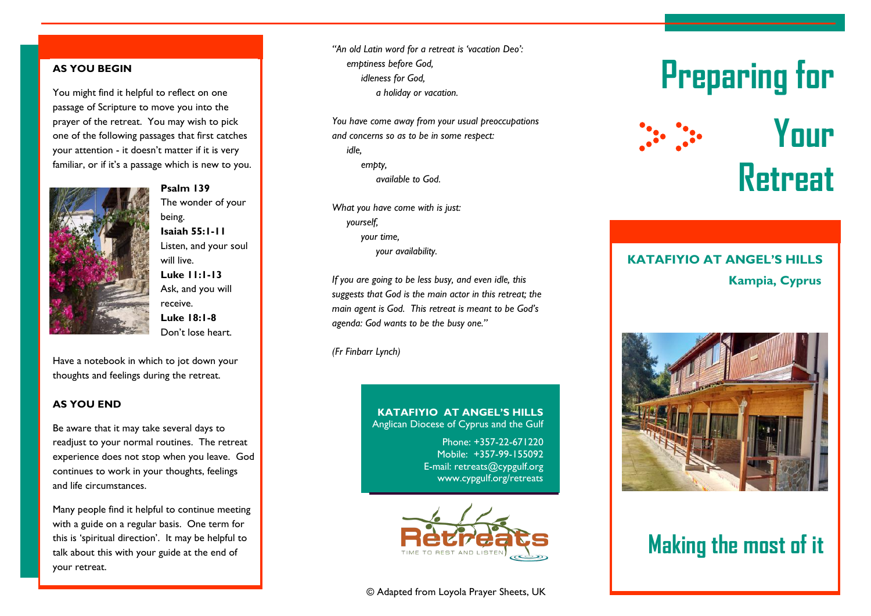### **AS YOU BEGIN**

You might find it helpful to reflect on one passage of Scripture to move you into the prayer of the retreat. You may wish to pick one of the following passages that first catches your attention - it doesn't matter if it is very familiar, or if it's a passage which is new to you.



**Psalm 139** The wonder of your being. **Isaiah 55:1-11** Listen, and your soul will live. **Luke 11:1-13** Ask, and you will receive. **Luke 18:1-8** Don't lose heart.

Have a notebook in which to jot down your thoughts and feelings during the retreat.

### **AS YOU END**

Be aware that it may take several days to readjust to your normal routines. The retreat experience does not stop when you leave. God continues to work in your thoughts, feelings and life circumstances.

Many people find it helpful to continue meeting with a guide on a regular basis. One term for this is 'spiritual direction'. It may be helpful to talk about this with your guide at the end of your retreat.

*"An old Latin word for a retreat is 'vacation Deo': emptiness before God, idleness for God, a holiday or vacation.*

*You have come away from your usual preoccupations and concerns so as to be in some respect: idle, empty, available to God.* 

*What you have come with is just: yourself, your time, your availability.*

*If you are going to be less busy, and even idle, this suggests that God is the main actor in this retreat; the main agent is God. This retreat is meant to be God's agenda: God wants to be the busy one."*

*(Fr Finbarr Lynch)*

### **KATAFIYIO AT ANGEL'S HILLS** Anglican Diocese of Cyprus and the Gulf

Phone: +357-22-671220 Mobile: +357-99-155092 E-mail: retreats@cypgulf.org www.cypgulf.org/retreats



# **Preparing for Your**

**Retreat**

### **Kampia, Cyprus KATAFIYIO AT ANGEL'S HILLS**



### **Making the most of it**